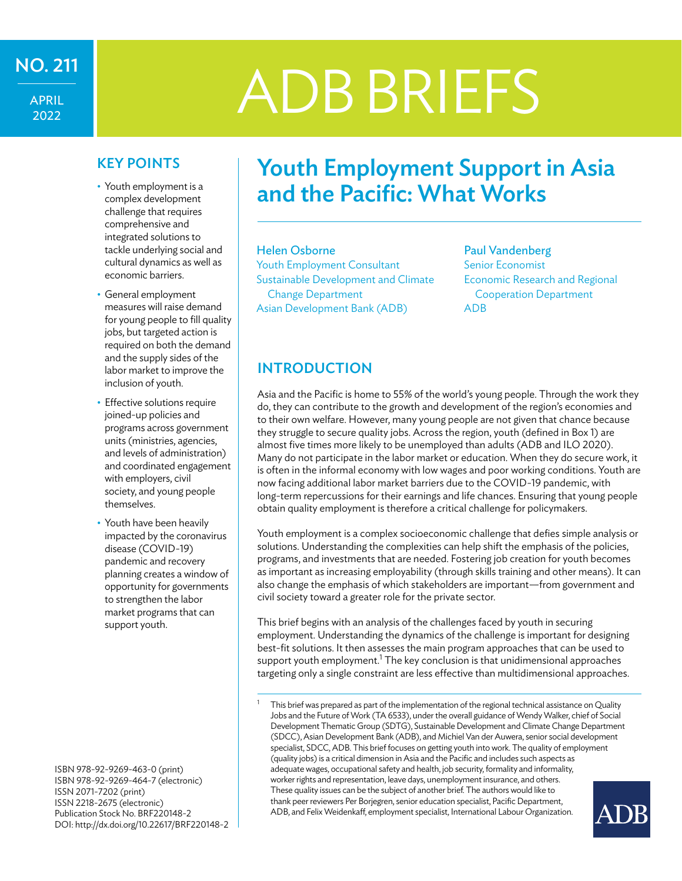APRIL 2022

# $\frac{1}{\mathsf{APRI}}$  ADB BRIEFS

# KEY POINTS

- Youth employment is a complex development challenge that requires comprehensive and integrated solutions to tackle underlying social and cultural dynamics as well as economic barriers.
- General employment measures will raise demand for young people to fill quality jobs, but targeted action is required on both the demand and the supply sides of the labor market to improve the inclusion of youth.
- Effective solutions require joined-up policies and programs across government units (ministries, agencies, and levels of administration) and coordinated engagement with employers, civil society, and young people themselves.
- Youth have been heavily impacted by the coronavirus disease (COVID-19) pandemic and recovery planning creates a window of opportunity for governments to strengthen the labor market programs that can support youth.

ISBN 978-92-9269-463-0 (print) ISBN 978-92-9269-464-7 (electronic) ISSN 2071-7202 (print) ISSN 2218-2675 (electronic) Publication Stock No. BRF220148-2 DOI:<http://dx.doi.org/10.22617/BRF220148-2>

# Youth Employment Support in Asia and the Pacific: What Works

# Helen Osborne Youth Employment Consultant Sustainable Development and Climate

Change Department Asian Development Bank (ADB)

# Paul Vandenberg Senior Economist Economic Research and Regional Cooperation Department ADB

# INTRODUCTION

Asia and the Pacific is home to 55% of the world's young people. Through the work they do, they can contribute to the growth and development of the region's economies and to their own welfare. However, many young people are not given that chance because they struggle to secure quality jobs. Across the region, youth (defined in Box 1) are almost five times more likely to be unemployed than adults (ADB and ILO 2020). Many do not participate in the labor market or education. When they do secure work, it is often in the informal economy with low wages and poor working conditions. Youth are now facing additional labor market barriers due to the COVID-19 pandemic, with long-term repercussions for their earnings and life chances. Ensuring that young people obtain quality employment is therefore a critical challenge for policymakers.

Youth employment is a complex socioeconomic challenge that defies simple analysis or solutions. Understanding the complexities can help shift the emphasis of the policies, programs, and investments that are needed. Fostering job creation for youth becomes as important as increasing employability (through skills training and other means). It can also change the emphasis of which stakeholders are important—from government and civil society toward a greater role for the private sector.

This brief begins with an analysis of the challenges faced by youth in securing employment. Understanding the dynamics of the challenge is important for designing best-fit solutions. It then assesses the main program approaches that can be used to support youth employment. $^1$  The key conclusion is that unidimensional approaches targeting only a single constraint are less effective than multidimensional approaches.

This brief was prepared as part of the implementation of the regional technical assistance on Quality Jobs and the Future of Work (TA 6533), under the overall guidance of Wendy Walker, chief of Social Development Thematic Group (SDTG), Sustainable Development and Climate Change Department (SDCC), Asian Development Bank (ADB), and Michiel Van der Auwera, senior social development specialist, SDCC, ADB. This brief focuses on getting youth into work. The quality of employment (quality jobs) is a critical dimension in Asia and the Pacific and includes such aspects as adequate wages, occupational safety and health, job security, formality and informality, worker rights and representation, leave days, unemployment insurance, and others. These quality issues can be the subject of another brief. The authors would like to thank peer reviewers Per Borjegren, senior education specialist, Pacific Department, ADB, and Felix Weidenkaff, employment specialist, International Labour Organization.

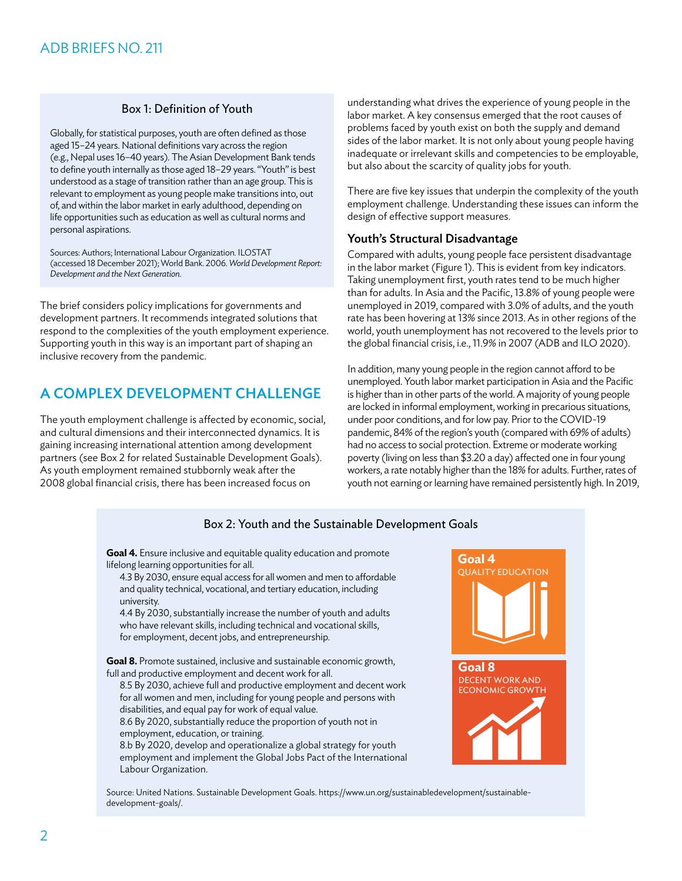# Box 1: Definition of Youth

Globally, for statistical purposes, youth are often defined as those aged 15–24 years. National definitions vary across the region (e.g., Nepal uses 16–40 years). The Asian Development Bank tends to define youth internally as those aged 18–29 years. "Youth" is best understood as a stage of transition rather than an age group. This is relevant to employment as young people make transitions into, out of, and within the labor market in early adulthood, depending on life opportunities such as education as well as cultural norms and personal aspirations.

Sources: Authors; International Labour Organization. ILOSTAT (accessed 18 December 2021); World Bank. 2006. *World Development Report: Development and the Next Generation*.

The brief considers policy implications for governments and development partners. It recommends integrated solutions that respond to the complexities of the youth employment experience. Supporting youth in this way is an important part of shaping an inclusive recovery from the pandemic.

# A COMPLEX DEVELOPMENT CHALLENGE

The youth employment challenge is affected by economic, social, and cultural dimensions and their interconnected dynamics. It is gaining increasing international attention among development partners (see Box 2 for related Sustainable Development Goals). As youth employment remained stubbornly weak after the 2008 global financial crisis, there has been increased focus on

understanding what drives the experience of young people in the labor market. A key consensus emerged that the root causes of problems faced by youth exist on both the supply and demand sides of the labor market. It is not only about young people having inadequate or irrelevant skills and competencies to be employable, but also about the scarcity of quality jobs for youth.

There are five key issues that underpin the complexity of the youth employment challenge. Understanding these issues can inform the design of effective support measures.

### Youth's Structural Disadvantage

Compared with adults, young people face persistent disadvantage in the labor market (Figure 1). This is evident from key indicators. Taking unemployment first, youth rates tend to be much higher than for adults. In Asia and the Pacific, 13.8% of young people were unemployed in 2019, compared with 3.0% of adults, and the youth rate has been hovering at 13% since 2013. As in other regions of the world, youth unemployment has not recovered to the levels prior to the global financial crisis, i.e., 11.9% in 2007 (ADB and ILO 2020).

In addition, many young people in the region cannot afford to be unemployed. Youth labor market participation in Asia and the Pacific is higher than in other parts of the world. A majority of young people are locked in informal employment, working in precarious situations, under poor conditions, and for low pay. Prior to the COVID-19 pandemic, 84% of the region's youth (compared with 69% of adults) had no access to social protection. Extreme or moderate working poverty (living on less than \$3.20 a day) affected one in four young workers, a rate notably higher than the 18% for adults. Further, rates of youth not earning or learning have remained persistently high. In 2019,

# Box 2: Youth and the Sustainable Development Goals

**Goal 4.** Ensure inclusive and equitable quality education and promote lifelong learning opportunities for all.

4.3 By 2030, ensure equal access for all women and men to affordable and quality technical, vocational, and tertiary education, including university.

4.4 By 2030, substantially increase the number of youth and adults who have relevant skills, including technical and vocational skills, for employment, decent jobs, and entrepreneurship.

**Goal 8.** Promote sustained, inclusive and sustainable economic growth, full and productive employment and decent work for all.

8.5 By 2030, achieve full and productive employment and decent work for all women and men, including for young people and persons with disabilities, and equal pay for work of equal value.

8.6 By 2020, substantially reduce the proportion of youth not in employment, education, or training.

8.b By 2020, develop and operationalize a global strategy for youth employment and implement the Global Jobs Pact of the International Labour Organization.



Source: United Nations. Sustainable Development Goals. [https://www.un.org/sustainabledevelopment/sustainable](https://www.un.org/sustainabledevelopment/sustainable-development-goals/)[development-goals/](https://www.un.org/sustainabledevelopment/sustainable-development-goals/).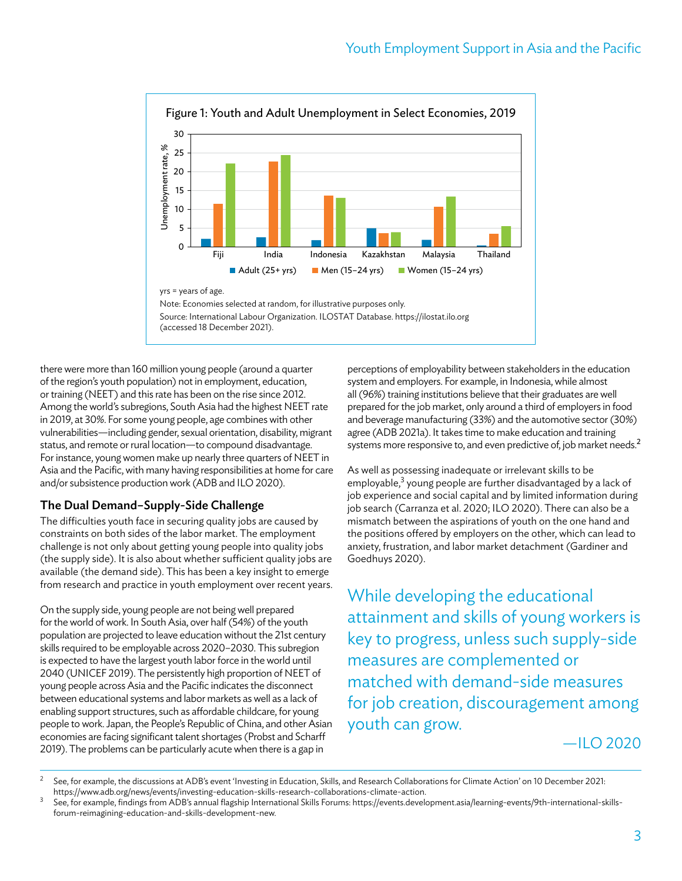

there were more than 160 million young people (around a quarter of the region's youth population) not in employment, education, or training (NEET) and this rate has been on the rise since 2012. Among the world's subregions, South Asia had the highest NEET rate in 2019, at 30%. For some young people, age combines with other vulnerabilities—including gender, sexual orientation, disability, migrant status, and remote or rural location—to compound disadvantage. For instance, young women make up nearly three quarters of NEET in Asia and the Pacific, with many having responsibilities at home for care and/or subsistence production work (ADB and ILO 2020).

# The Dual Demand–Supply-Side Challenge

The difficulties youth face in securing quality jobs are caused by constraints on both sides of the labor market. The employment challenge is not only about getting young people into quality jobs (the supply side). It is also about whether sufficient quality jobs are available (the demand side). This has been a key insight to emerge from research and practice in youth employment over recent years.

On the supply side, young people are not being well prepared for the world of work. In South Asia, over half (54%) of the youth population are projected to leave education without the 21st century skills required to be employable across 2020–2030. This subregion is expected to have the largest youth labor force in the world until 2040 (UNICEF 2019). The persistently high proportion of NEET of young people across Asia and the Pacific indicates the disconnect between educational systems and labor markets as well as a lack of enabling support structures, such as affordable childcare, for young people to work. Japan, the People's Republic of China, and other Asian economies are facing significant talent shortages (Probst and Scharff 2019). The problems can be particularly acute when there is a gap in

perceptions of employability between stakeholders in the education system and employers. For example, in Indonesia, while almost all (96%) training institutions believe that their graduates are well prepared for the job market, only around a third of employers in food and beverage manufacturing (33%) and the automotive sector (30%) agree (ADB 2021a). It takes time to make education and training systems more responsive to, and even predictive of, job market needs.<sup>2</sup>

As well as possessing inadequate or irrelevant skills to be employable,<sup>3</sup> young people are further disadvantaged by a lack of job experience and social capital and by limited information during job search (Carranza et al. 2020; ILO 2020). There can also be a mismatch between the aspirations of youth on the one hand and the positions offered by employers on the other, which can lead to anxiety, frustration, and labor market detachment (Gardiner and Goedhuys 2020).

While developing the educational attainment and skills of young workers is key to progress, unless such supply-side measures are complemented or matched with demand-side measures for job creation, discouragement among youth can grow.

 $-$ II O 2020

<sup>&</sup>lt;sup>2</sup> See, for example, the discussions at ADB's event 'Investing in Education, Skills, and Research Collaborations for Climate Action' on 10 December 2021:

https://www.adb.org/news/events/investing-education-skills-research-collaborations-climate-action.<br>See, for example, findings from ADB's annual flagship International Skills Forums: https://events.development.asia/learning [forum-reimagining-education-and-skills-development-new](https://events.development.asia/learning-events/9th-international-skills-forum-reimagining-education-and-skills-development-new).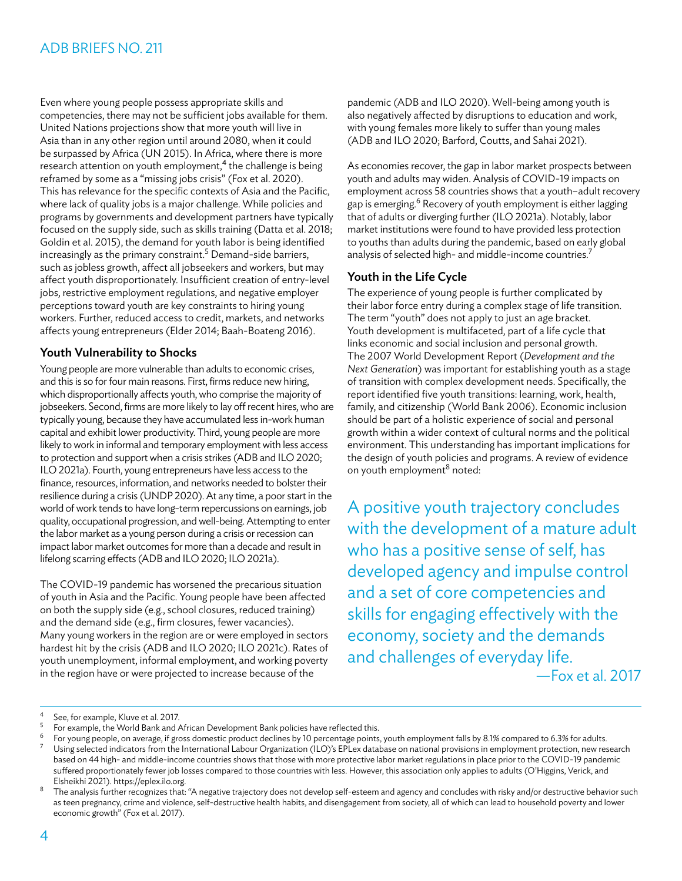Even where young people possess appropriate skills and competencies, there may not be sufficient jobs available for them. United Nations projections show that more youth will live in Asia than in any other region until around 2080, when it could be surpassed by Africa (UN 2015). In Africa, where there is more research attention on youth employment,<sup>4</sup> the challenge is being reframed by some as a "missing jobs crisis" (Fox et al. 2020). This has relevance for the specific contexts of Asia and the Pacific, where lack of quality jobs is a major challenge. While policies and programs by governments and development partners have typically focused on the supply side, such as skills training (Datta et al. 2018; Goldin et al. 2015), the demand for youth labor is being identified increasingly as the primary constraint.<sup>5</sup> Demand-side barriers, such as jobless growth, affect all jobseekers and workers, but may affect youth disproportionately. Insufficient creation of entry-level jobs, restrictive employment regulations, and negative employer perceptions toward youth are key constraints to hiring young workers. Further, reduced access to credit, markets, and networks affects young entrepreneurs (Elder 2014; Baah-Boateng 2016).

# Youth Vulnerability to Shocks

Young people are more vulnerable than adults to economic crises, and this is so for four main reasons. First, firms reduce new hiring, which disproportionally affects youth, who comprise the majority of jobseekers. Second, firms are more likely to lay off recent hires, who are typically young, because they have accumulated less in-work human capital and exhibit lower productivity. Third, young people are more likely to work in informal and temporary employment with less access to protection and support when a crisis strikes (ADB and ILO 2020; ILO 2021a). Fourth, young entrepreneurs have less access to the finance, resources, information, and networks needed to bolster their resilience during a crisis (UNDP 2020). At any time, a poor start in the world of work tends to have long-term repercussions on earnings, job quality, occupational progression, and well-being. Attempting to enter the labor market as a young person during a crisis or recession can impact labor market outcomes for more than a decade and result in lifelong scarring effects (ADB and ILO 2020; ILO 2021a).

The COVID-19 pandemic has worsened the precarious situation of youth in Asia and the Pacific. Young people have been affected on both the supply side (e.g., school closures, reduced training) and the demand side (e.g., firm closures, fewer vacancies). Many young workers in the region are or were employed in sectors hardest hit by the crisis (ADB and ILO 2020; ILO 2021c). Rates of youth unemployment, informal employment, and working poverty in the region have or were projected to increase because of the

pandemic (ADB and ILO 2020). Well-being among youth is also negatively affected by disruptions to education and work, with young females more likely to suffer than young males (ADB and ILO 2020; Barford, Coutts, and Sahai 2021).

As economies recover, the gap in labor market prospects between youth and adults may widen. Analysis of COVID-19 impacts on employment across 58 countries shows that a youth–adult recovery gap is emerging.<sup>6</sup> Recovery of youth employment is either lagging that of adults or diverging further (ILO 2021a). Notably, labor market institutions were found to have provided less protection to youths than adults during the pandemic, based on early global analysis of selected high- and middle-income countries.<sup>7</sup>

# Youth in the Life Cycle

The experience of young people is further complicated by their labor force entry during a complex stage of life transition. The term "youth" does not apply to just an age bracket. Youth development is multifaceted, part of a life cycle that links economic and social inclusion and personal growth. The 2007 World Development Report (*Development and the Next Generation*) was important for establishing youth as a stage of transition with complex development needs. Specifically, the report identified five youth transitions: learning, work, health, family, and citizenship (World Bank 2006). Economic inclusion should be part of a holistic experience of social and personal growth within a wider context of cultural norms and the political environment. This understanding has important implications for the design of youth policies and programs. A review of evidence on youth employment<sup>8</sup> noted:

A positive youth trajectory concludes with the development of a mature adult who has a positive sense of self, has developed agency and impulse control and a set of core competencies and skills for engaging effectively with the economy, society and the demands and challenges of everyday life.

—Fox et al. 2017

<sup>4</sup> See, for example, Kluve et al. 2017.

<sup>5</sup> For example, the World Bank and African Development Bank policies have reflected this.

For young people, on average, if gross domestic product declines by 10 percentage points, youth employment falls by 8.1% compared to 6.3% for adults. Using selected indicators from the International Labour Organization (ILO)'s EPLex database on national provisions in employment protection, new research based on 44 high- and middle-income countries shows that those with more protective labor market regulations in place prior to the COVID-19 pandemic suffered proportionately fewer job losses compared to those countries with less. However, this association only applies to adults (O'Higgins, Verick, and Elsheikhi 2021). [https://eplex.ilo.org.](https://eplex.ilo.org)

The analysis further recognizes that: "A negative trajectory does not develop self-esteem and agency and concludes with risky and/or destructive behavior such as teen pregnancy, crime and violence, self-destructive health habits, and disengagement from society, all of which can lead to household poverty and lower economic growth" (Fox et al. 2017).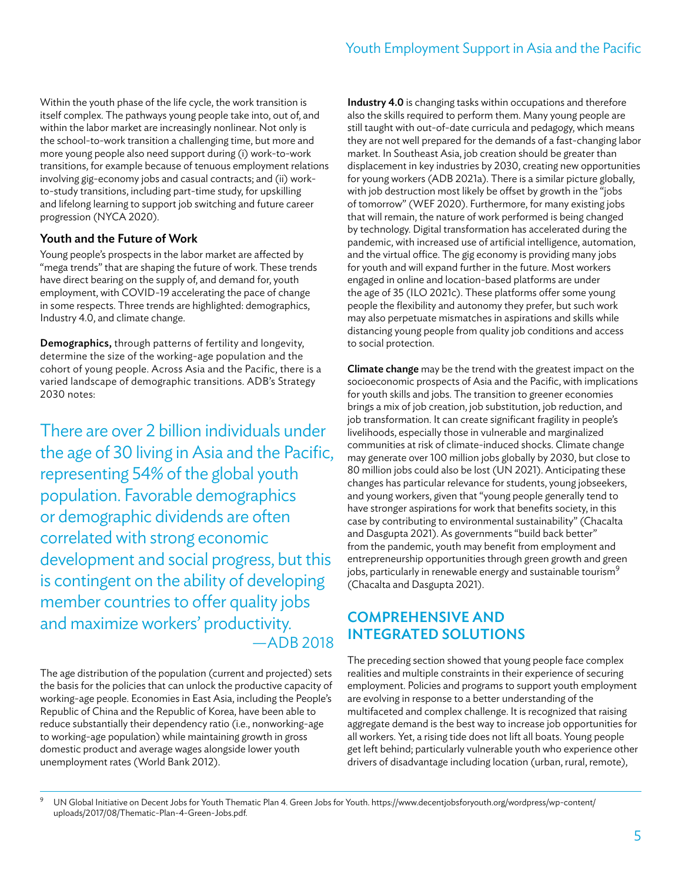Within the youth phase of the life cycle, the work transition is itself complex. The pathways young people take into, out of, and within the labor market are increasingly nonlinear. Not only is the school-to-work transition a challenging time, but more and more young people also need support during (i) work-to-work transitions, for example because of tenuous employment relations involving gig-economy jobs and casual contracts; and (ii) workto-study transitions, including part-time study, for upskilling and lifelong learning to support job switching and future career progression (NYCA 2020).

# Youth and the Future of Work

Young people's prospects in the labor market are affected by "mega trends" that are shaping the future of work. These trends have direct bearing on the supply of, and demand for, youth employment, with COVID-19 accelerating the pace of change in some respects. Three trends are highlighted: demographics, Industry 4.0, and climate change.

Demographics, through patterns of fertility and longevity, determine the size of the working-age population and the cohort of young people. Across Asia and the Pacific, there is a varied landscape of demographic transitions. ADB's Strategy 2030 notes:

There are over 2 billion individuals under the age of 30 living in Asia and the Pacific, representing 54% of the global youth population. Favorable demographics or demographic dividends are often correlated with strong economic development and social progress, but this is contingent on the ability of developing member countries to offer quality jobs and maximize workers' productivity. —ADB 2018

The age distribution of the population (current and projected) sets the basis for the policies that can unlock the productive capacity of working-age people. Economies in East Asia, including the People's Republic of China and the Republic of Korea, have been able to reduce substantially their dependency ratio (i.e., nonworking-age to working-age population) while maintaining growth in gross domestic product and average wages alongside lower youth unemployment rates (World Bank 2012).

Industry 4.0 is changing tasks within occupations and therefore also the skills required to perform them. Many young people are still taught with out-of-date curricula and pedagogy, which means they are not well prepared for the demands of a fast-changing labor market. In Southeast Asia, job creation should be greater than displacement in key industries by 2030, creating new opportunities for young workers (ADB 2021a). There is a similar picture globally, with job destruction most likely be offset by growth in the "jobs of tomorrow" (WEF 2020). Furthermore, for many existing jobs that will remain, the nature of work performed is being changed by technology. Digital transformation has accelerated during the pandemic, with increased use of artificial intelligence, automation, and the virtual office. The gig economy is providing many jobs for youth and will expand further in the future. Most workers engaged in online and location-based platforms are under the age of 35 (ILO 2021c). These platforms offer some young people the flexibility and autonomy they prefer, but such work may also perpetuate mismatches in aspirations and skills while distancing young people from quality job conditions and access to social protection.

Climate change may be the trend with the greatest impact on the socioeconomic prospects of Asia and the Pacific, with implications for youth skills and jobs. The transition to greener economies brings a mix of job creation, job substitution, job reduction, and job transformation. It can create significant fragility in people's livelihoods, especially those in vulnerable and marginalized communities at risk of climate-induced shocks. Climate change may generate over 100 million jobs globally by 2030, but close to 80 million jobs could also be lost (UN 2021). Anticipating these changes has particular relevance for students, young jobseekers, and young workers, given that "young people generally tend to have stronger aspirations for work that benefits society, in this case by contributing to environmental sustainability" (Chacalta and Dasgupta 2021). As governments "build back better" from the pandemic, youth may benefit from employment and entrepreneurship opportunities through green growth and green jobs, particularly in renewable energy and sustainable tourism $9$ (Chacalta and Dasgupta 2021).

# COMPREHENSIVE AND INTEGRATED SOLUTIONS

The preceding section showed that young people face complex realities and multiple constraints in their experience of securing employment. Policies and programs to support youth employment are evolving in response to a better understanding of the multifaceted and complex challenge. It is recognized that raising aggregate demand is the best way to increase job opportunities for all workers. Yet, a rising tide does not lift all boats. Young people get left behind; particularly vulnerable youth who experience other drivers of disadvantage including location (urban, rural, remote),

UN Global Initiative on Decent Jobs for Youth Thematic Plan 4. Green Jobs for Youth. [https://www.decentjobsforyouth.org/wordpress/wp-content/](https://www.decentjobsforyouth.org/wordpress/wp-content/uploads/2017/08/Thematic-Plan-4-Green-Jobs.pdf) [uploads/2017/08/Thematic-Plan-4-Green-Jobs.pdf.](https://www.decentjobsforyouth.org/wordpress/wp-content/uploads/2017/08/Thematic-Plan-4-Green-Jobs.pdf)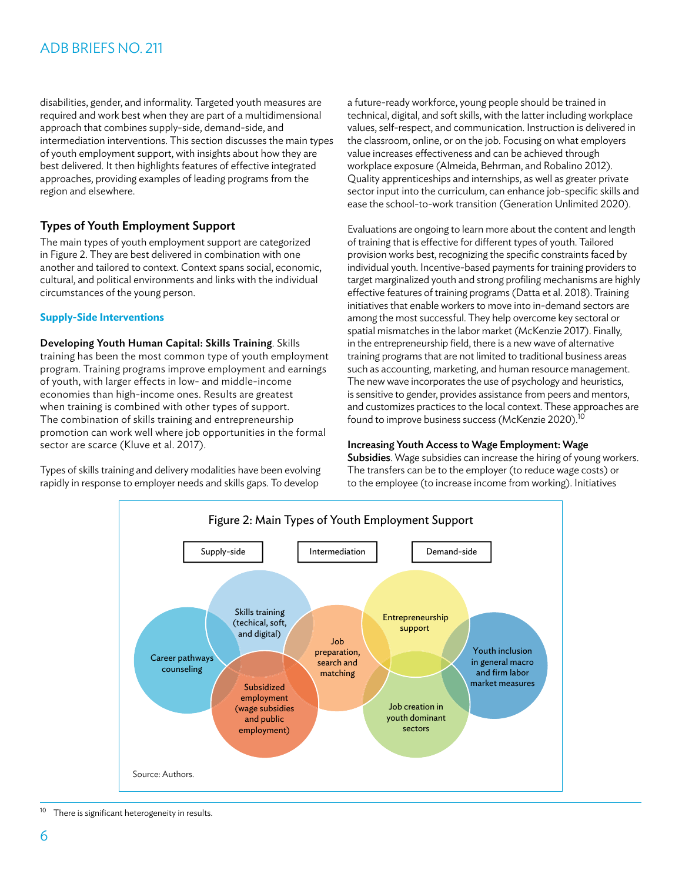disabilities, gender, and informality. Targeted youth measures are required and work best when they are part of a multidimensional approach that combines supply-side, demand-side, and intermediation interventions. This section discusses the main types of youth employment support, with insights about how they are best delivered. It then highlights features of effective integrated approaches, providing examples of leading programs from the region and elsewhere.

# Types of Youth Employment Support

The main types of youth employment support are categorized in Figure 2. They are best delivered in combination with one another and tailored to context. Context spans social, economic, cultural, and political environments and links with the individual circumstances of the young person.

### **Supply-Side Interventions**

Developing Youth Human Capital: Skills Training. Skills training has been the most common type of youth employment program. Training programs improve employment and earnings of youth, with larger effects in low- and middle-income economies than high-income ones. Results are greatest when training is combined with other types of support. The combination of skills training and entrepreneurship promotion can work well where job opportunities in the formal sector are scarce (Kluve et al. 2017).

Types of skills training and delivery modalities have been evolving rapidly in response to employer needs and skills gaps. To develop

a future-ready workforce, young people should be trained in technical, digital, and soft skills, with the latter including workplace values, self-respect, and communication. Instruction is delivered in the classroom, online, or on the job. Focusing on what employers value increases effectiveness and can be achieved through workplace exposure (Almeida, Behrman, and Robalino 2012). Quality apprenticeships and internships, as well as greater private sector input into the curriculum, can enhance job-specific skills and ease the school-to-work transition (Generation Unlimited 2020).

Evaluations are ongoing to learn more about the content and length of training that is effective for different types of youth. Tailored provision works best, recognizing the specific constraints faced by individual youth. Incentive-based payments for training providers to target marginalized youth and strong profiling mechanisms are highly effective features of training programs (Datta et al. 2018). Training initiatives that enable workers to move into in-demand sectors are among the most successful. They help overcome key sectoral or spatial mismatches in the labor market (McKenzie 2017). Finally, in the entrepreneurship field, there is a new wave of alternative training programs that are not limited to traditional business areas such as accounting, marketing, and human resource management. The new wave incorporates the use of psychology and heuristics, is sensitive to gender, provides assistance from peers and mentors, and customizes practices to the local context. These approaches are found to improve business success (McKenzie 2020).<sup>10</sup>

### Increasing Youth Access to Wage Employment: Wage

Subsidies. Wage subsidies can increase the hiring of young workers. The transfers can be to the employer (to reduce wage costs) or to the employee (to increase income from working). Initiatives



 $10$  There is significant heterogeneity in results.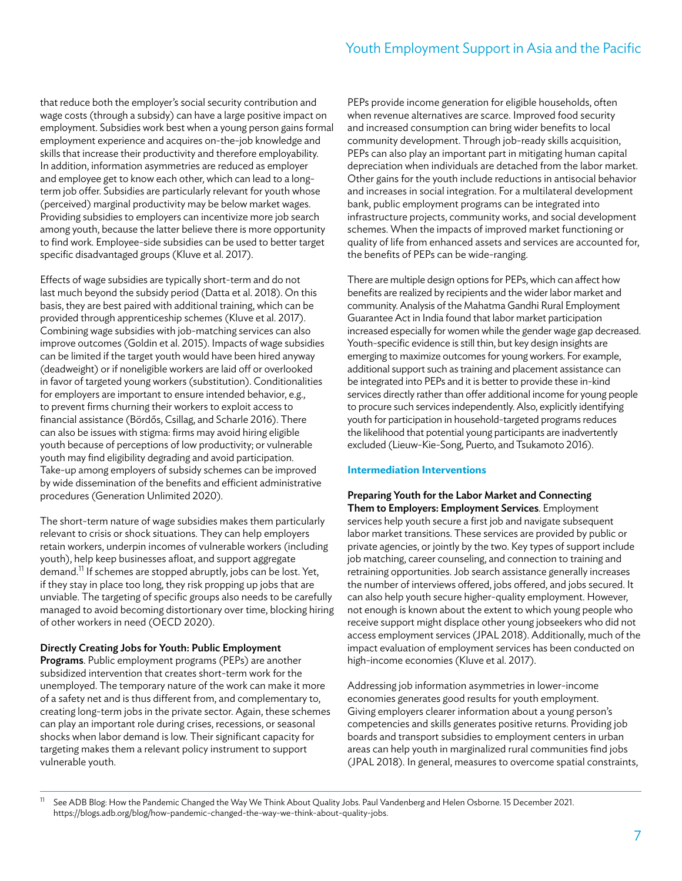that reduce both the employer's social security contribution and wage costs (through a subsidy) can have a large positive impact on employment. Subsidies work best when a young person gains formal employment experience and acquires on-the-job knowledge and skills that increase their productivity and therefore employability. In addition, information asymmetries are reduced as employer and employee get to know each other, which can lead to a longterm job offer. Subsidies are particularly relevant for youth whose (perceived) marginal productivity may be below market wages. Providing subsidies to employers can incentivize more job search among youth, because the latter believe there is more opportunity to find work. Employee-side subsidies can be used to better target specific disadvantaged groups (Kluve et al. 2017).

Effects of wage subsidies are typically short-term and do not last much beyond the subsidy period (Datta et al. 2018). On this basis, they are best paired with additional training, which can be provided through apprenticeship schemes (Kluve et al. 2017). Combining wage subsidies with job-matching services can also improve outcomes (Goldin et al. 2015). Impacts of wage subsidies can be limited if the target youth would have been hired anyway (deadweight) or if noneligible workers are laid off or overlooked in favor of targeted young workers (substitution). Conditionalities for employers are important to ensure intended behavior, e.g., to prevent firms churning their workers to exploit access to financial assistance (Bördős, Csillag, and Scharle 2016). There can also be issues with stigma: firms may avoid hiring eligible youth because of perceptions of low productivity; or vulnerable youth may find eligibility degrading and avoid participation. Take-up among employers of subsidy schemes can be improved by wide dissemination of the benefits and efficient administrative procedures (Generation Unlimited 2020).

The short-term nature of wage subsidies makes them particularly relevant to crisis or shock situations. They can help employers retain workers, underpin incomes of vulnerable workers (including youth), help keep businesses afloat, and support aggregate demand.<sup>11</sup> If schemes are stopped abruptly, jobs can be lost. Yet, if they stay in place too long, they risk propping up jobs that are unviable. The targeting of specific groups also needs to be carefully managed to avoid becoming distortionary over time, blocking hiring of other workers in need (OECD 2020).

### Directly Creating Jobs for Youth: Public Employment

Programs. Public employment programs (PEPs) are another subsidized intervention that creates short-term work for the unemployed. The temporary nature of the work can make it more of a safety net and is thus different from, and complementary to, creating long-term jobs in the private sector. Again, these schemes can play an important role during crises, recessions, or seasonal shocks when labor demand is low. Their significant capacity for targeting makes them a relevant policy instrument to support vulnerable youth.

PEPs provide income generation for eligible households, often when revenue alternatives are scarce. Improved food security and increased consumption can bring wider benefits to local community development. Through job-ready skills acquisition, PEPs can also play an important part in mitigating human capital depreciation when individuals are detached from the labor market. Other gains for the youth include reductions in antisocial behavior and increases in social integration. For a multilateral development bank, public employment programs can be integrated into infrastructure projects, community works, and social development schemes. When the impacts of improved market functioning or quality of life from enhanced assets and services are accounted for, the benefits of PEPs can be wide-ranging.

There are multiple design options for PEPs, which can affect how benefits are realized by recipients and the wider labor market and community. Analysis of the Mahatma Gandhi Rural Employment Guarantee Act in India found that labor market participation increased especially for women while the gender wage gap decreased. Youth-specific evidence is still thin, but key design insights are emerging to maximize outcomes for young workers. For example, additional support such as training and placement assistance can be integrated into PEPs and it is better to provide these in-kind services directly rather than offer additional income for young people to procure such services independently. Also, explicitly identifying youth for participation in household-targeted programs reduces the likelihood that potential young participants are inadvertently excluded (Lieuw-Kie-Song, Puerto, and Tsukamoto 2016).

### **Intermediation Interventions**

# Preparing Youth for the Labor Market and Connecting

Them to Employers: Employment Services. Employment services help youth secure a first job and navigate subsequent labor market transitions. These services are provided by public or private agencies, or jointly by the two. Key types of support include job matching, career counseling, and connection to training and retraining opportunities. Job search assistance generally increases the number of interviews offered, jobs offered, and jobs secured. It can also help youth secure higher-quality employment. However, not enough is known about the extent to which young people who receive support might displace other young jobseekers who did not access employment services (JPAL 2018). Additionally, much of the impact evaluation of employment services has been conducted on high-income economies (Kluve et al. 2017).

Addressing job information asymmetries in lower-income economies generates good results for youth employment. Giving employers clearer information about a young person's competencies and skills generates positive returns. Providing job boards and transport subsidies to employment centers in urban areas can help youth in marginalized rural communities find jobs (JPAL 2018). In general, measures to overcome spatial constraints,

<sup>&</sup>lt;sup>11</sup> See ADB Blog: How the Pandemic Changed the Way We Think About Quality Jobs. Paul Vandenberg and Helen Osborne. 15 December 2021. <https://blogs.adb.org/blog/how-pandemic-changed-the-way-we-think-about-quality-jobs>.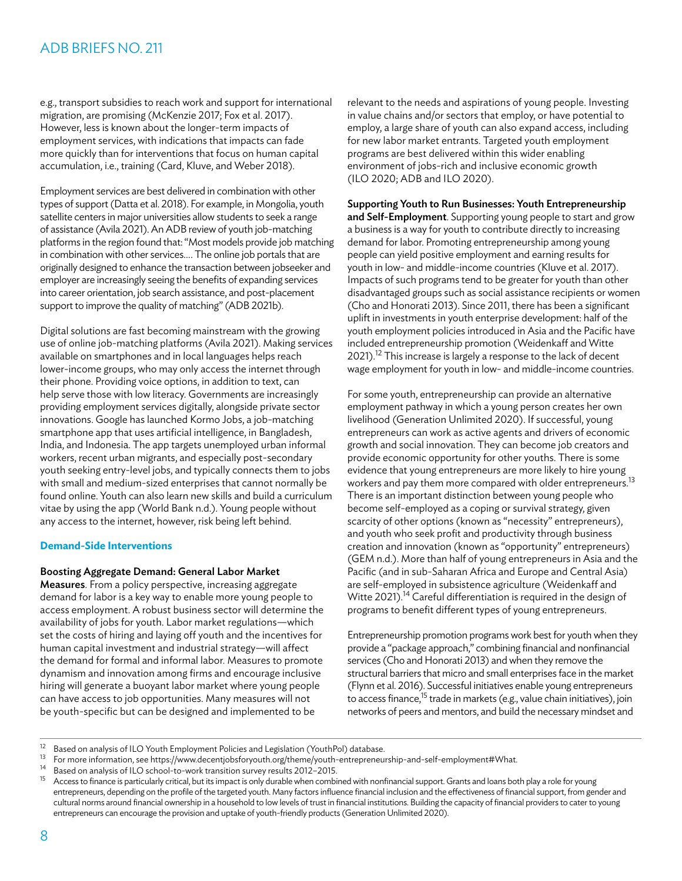e.g., transport subsidies to reach work and support for international migration, are promising (McKenzie 2017; Fox et al. 2017). However, less is known about the longer-term impacts of employment services, with indications that impacts can fade more quickly than for interventions that focus on human capital accumulation, i.e., training (Card, Kluve, and Weber 2018).

Employment services are best delivered in combination with other types of support (Datta et al. 2018). For example, in Mongolia, youth satellite centers in major universities allow students to seek a range of assistance (Avila 2021). An ADB review of youth job-matching platforms in the region found that: "Most models provide job matching in combination with other services… . The online job portals that are originally designed to enhance the transaction between jobseeker and employer are increasingly seeing the benefits of expanding services into career orientation, job search assistance, and post-placement support to improve the quality of matching" (ADB 2021b).

Digital solutions are fast becoming mainstream with the growing use of online job-matching platforms (Avila 2021). Making services available on smartphones and in local languages helps reach lower-income groups, who may only access the internet through their phone. Providing voice options, in addition to text, can help serve those with low literacy. Governments are increasingly providing employment services digitally, alongside private sector innovations. Google has launched Kormo Jobs, a job-matching smartphone app that uses artificial intelligence, in Bangladesh, India, and Indonesia. The app targets unemployed urban informal workers, recent urban migrants, and especially post-secondary youth seeking entry-level jobs, and typically connects them to jobs with small and medium-sized enterprises that cannot normally be found online. Youth can also learn new skills and build a curriculum vitae by using the app (World Bank n.d.). Young people without any access to the internet, however, risk being left behind.

### **Demand-Side Interventions**

### Boosting Aggregate Demand: General Labor Market

Measures. From a policy perspective, increasing aggregate demand for labor is a key way to enable more young people to access employment. A robust business sector will determine the availability of jobs for youth. Labor market regulations—which set the costs of hiring and laying off youth and the incentives for human capital investment and industrial strategy—will affect the demand for formal and informal labor. Measures to promote dynamism and innovation among firms and encourage inclusive hiring will generate a buoyant labor market where young people can have access to job opportunities. Many measures will not be youth-specific but can be designed and implemented to be

relevant to the needs and aspirations of young people. Investing in value chains and/or sectors that employ, or have potential to employ, a large share of youth can also expand access, including for new labor market entrants. Targeted youth employment programs are best delivered within this wider enabling environment of jobs-rich and inclusive economic growth (ILO 2020; ADB and ILO 2020).

### Supporting Youth to Run Businesses: Youth Entrepreneurship

and Self-Employment. Supporting young people to start and grow a business is a way for youth to contribute directly to increasing demand for labor. Promoting entrepreneurship among young people can yield positive employment and earning results for youth in low- and middle-income countries (Kluve et al. 2017). Impacts of such programs tend to be greater for youth than other disadvantaged groups such as social assistance recipients or women (Cho and Honorati 2013). Since 2011, there has been a significant uplift in investments in youth enterprise development: half of the youth employment policies introduced in Asia and the Pacific have included entrepreneurship promotion (Weidenkaff and Witte 2021).<sup>12</sup> This increase is largely a response to the lack of decent wage employment for youth in low- and middle-income countries.

For some youth, entrepreneurship can provide an alternative employment pathway in which a young person creates her own livelihood (Generation Unlimited 2020). If successful, young entrepreneurs can work as active agents and drivers of economic growth and social innovation. They can become job creators and provide economic opportunity for other youths. There is some evidence that young entrepreneurs are more likely to hire young workers and pay them more compared with older entrepreneurs.<sup>13</sup> There is an important distinction between young people who become self-employed as a coping or survival strategy, given scarcity of other options (known as "necessity" entrepreneurs), and youth who seek profit and productivity through business creation and innovation (known as "opportunity" entrepreneurs) (GEM n.d.). More than half of young entrepreneurs in Asia and the Pacific (and in sub-Saharan Africa and Europe and Central Asia) are self-employed in subsistence agriculture (Weidenkaff and Witte 2021).<sup>14</sup> Careful differentiation is required in the design of programs to benefit different types of young entrepreneurs.

Entrepreneurship promotion programs work best for youth when they provide a "package approach," combining financial and nonfinancial services (Cho and Honorati 2013) and when they remove the structural barriers that micro and small enterprises face in the market (Flynn et al. 2016). Successful initiatives enable young entrepreneurs to access finance,<sup>15</sup> trade in markets (e.g., value chain initiatives), join networks of peers and mentors, and build the necessary mindset and

<sup>&</sup>lt;sup>12</sup> Based on analysis of ILO Youth Employment Policies and Legislation (YouthPol) database.<br><sup>13</sup> For more information, see<https://www.decentjobsforyouth.org/theme/youth-entrepreneurship-and-self-employment#What>.<br><sup>14</sup> Ba

Access to finance is particularly critical, but its impact is only durable when combined with nonfinancial support. Grants and loans both play a role for young entrepreneurs, depending on the profile of the targeted youth. Many factors influence financial inclusion and the effectiveness of financial support, from gender and cultural norms around financial ownership in a household to low levels of trust in financial institutions. Building the capacity of financial providers to cater to young entrepreneurs can encourage the provision and uptake of youth-friendly products (Generation Unlimited 2020).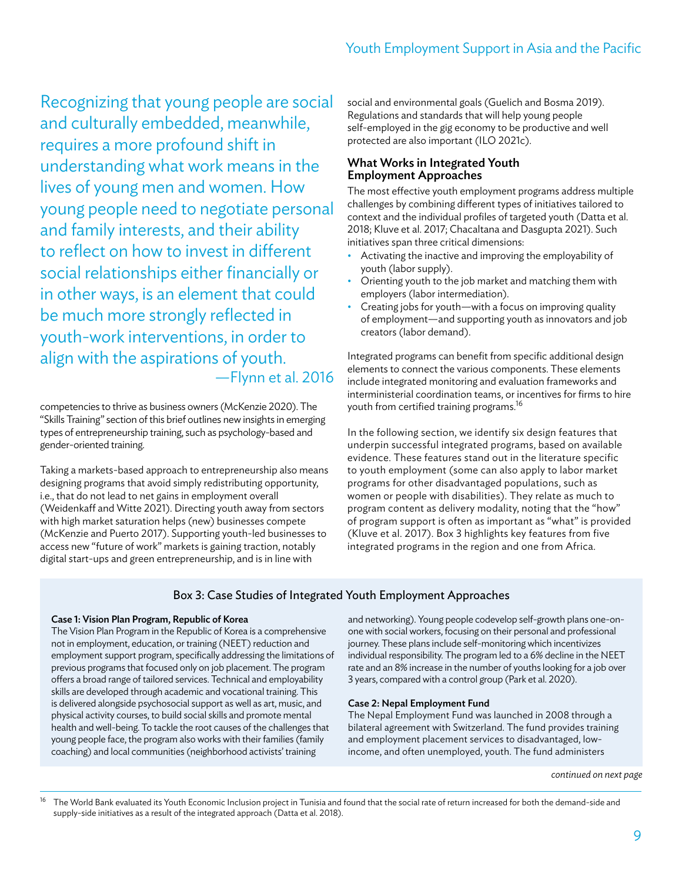Recognizing that young people are social and culturally embedded, meanwhile, requires a more profound shift in understanding what work means in the lives of young men and women. How young people need to negotiate personal and family interests, and their ability to reflect on how to invest in different social relationships either financially or in other ways, is an element that could be much more strongly reflected in youth-work interventions, in order to align with the aspirations of youth. —Flynn et al. 2016

competencies to thrive as business owners (McKenzie 2020). The "Skills Training" section of this brief outlines new insights in emerging types of entrepreneurship training, such as psychology-based and gender-oriented training.

Taking a markets-based approach to entrepreneurship also means designing programs that avoid simply redistributing opportunity, i.e., that do not lead to net gains in employment overall (Weidenkaff and Witte 2021). Directing youth away from sectors with high market saturation helps (new) businesses compete (McKenzie and Puerto 2017). Supporting youth-led businesses to access new "future of work" markets is gaining traction, notably digital start-ups and green entrepreneurship, and is in line with

social and environmental goals (Guelich and Bosma 2019). Regulations and standards that will help young people self-employed in the gig economy to be productive and well protected are also important (ILO 2021c).

### What Works in Integrated Youth Employment Approaches

The most effective youth employment programs address multiple challenges by combining different types of initiatives tailored to context and the individual profiles of targeted youth (Datta et al. 2018; Kluve et al. 2017; Chacaltana and Dasgupta 2021). Such initiatives span three critical dimensions:

- Activating the inactive and improving the employability of youth (labor supply).
- Orienting youth to the job market and matching them with employers (labor intermediation).
- Creating jobs for youth—with a focus on improving quality of employment—and supporting youth as innovators and job creators (labor demand).

Integrated programs can benefit from specific additional design elements to connect the various components. These elements include integrated monitoring and evaluation frameworks and interministerial coordination teams, or incentives for firms to hire youth from certified training programs.<sup>16</sup>

In the following section, we identify six design features that underpin successful integrated programs, based on available evidence. These features stand out in the literature specific to youth employment (some can also apply to labor market programs for other disadvantaged populations, such as women or people with disabilities). They relate as much to program content as delivery modality, noting that the "how" of program support is often as important as "what" is provided (Kluve et al. 2017). Box 3 highlights key features from five integrated programs in the region and one from Africa.

# Box 3: Case Studies of Integrated Youth Employment Approaches

### Case 1: Vision Plan Program, Republic of Korea

The Vision Plan Program in the Republic of Korea is a comprehensive not in employment, education, or training (NEET) reduction and employment support program, specifically addressing the limitations of previous programs that focused only on job placement. The program offers a broad range of tailored services. Technical and employability skills are developed through academic and vocational training. This is delivered alongside psychosocial support as well as art, music, and physical activity courses, to build social skills and promote mental health and well-being. To tackle the root causes of the challenges that young people face, the program also works with their families (family coaching) and local communities (neighborhood activists' training

and networking). Young people codevelop self-growth plans one-onone with social workers, focusing on their personal and professional journey. These plans include self-monitoring which incentivizes individual responsibility. The program led to a 6% decline in the NEET rate and an 8% increase in the number of youths looking for a job over 3 years, compared with a control group (Park et al. 2020).

### Case 2: Nepal Employment Fund

The Nepal Employment Fund was launched in 2008 through a bilateral agreement with Switzerland. The fund provides training and employment placement services to disadvantaged, lowincome, and often unemployed, youth. The fund administers

<sup>16</sup> The World Bank evaluated its Youth Economic Inclusion project in Tunisia and found that the social rate of return increased for both the demand-side and supply-side initiatives as a result of the integrated approach (Datta et al. 2018).

*continued on next page*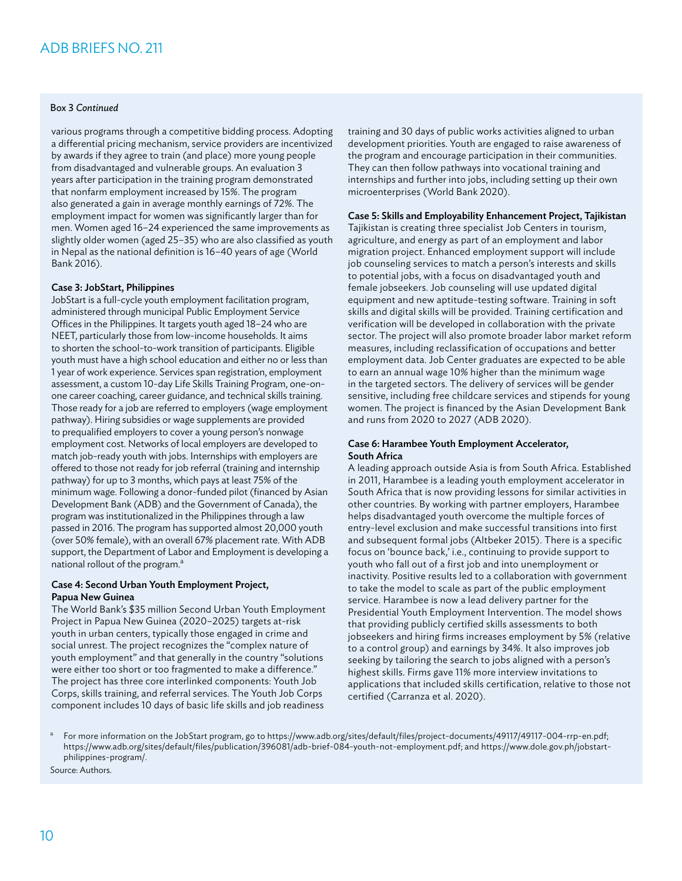### Box 3 *Continued*

various programs through a competitive bidding process. Adopting a differential pricing mechanism, service providers are incentivized by awards if they agree to train (and place) more young people from disadvantaged and vulnerable groups. An evaluation 3 years after participation in the training program demonstrated that nonfarm employment increased by 15%. The program also generated a gain in average monthly earnings of 72%. The employment impact for women was significantly larger than for men. Women aged 16–24 experienced the same improvements as slightly older women (aged 25–35) who are also classified as youth in Nepal as the national definition is 16–40 years of age (World Bank 2016).

### Case 3: JobStart, Philippines

JobStart is a full-cycle youth employment facilitation program, administered through municipal Public Employment Service Offices in the Philippines. It targets youth aged 18–24 who are NEET, particularly those from low-income households. It aims to shorten the school-to-work transition of participants. Eligible youth must have a high school education and either no or less than 1 year of work experience. Services span registration, employment assessment, a custom 10-day Life Skills Training Program, one-onone career coaching, career guidance, and technical skills training. Those ready for a job are referred to employers (wage employment pathway). Hiring subsidies or wage supplements are provided to prequalified employers to cover a young person's nonwage employment cost. Networks of local employers are developed to match job-ready youth with jobs. Internships with employers are offered to those not ready for job referral (training and internship pathway) for up to 3 months, which pays at least 75% of the minimum wage. Following a donor-funded pilot (financed by Asian Development Bank (ADB) and the Government of Canada), the program was institutionalized in the Philippines through a law passed in 2016. The program has supported almost 20,000 youth (over 50% female), with an overall 67% placement rate. With ADB support, the Department of Labor and Employment is developing a national rollout of the program.<sup>a</sup>

### Case 4: Second Urban Youth Employment Project, Papua New Guinea

The World Bank's \$35 million Second Urban Youth Employment Project in Papua New Guinea (2020–2025) targets at-risk youth in urban centers, typically those engaged in crime and social unrest. The project recognizes the "complex nature of youth employment" and that generally in the country "solutions were either too short or too fragmented to make a difference." The project has three core interlinked components: Youth Job Corps, skills training, and referral services. The Youth Job Corps component includes 10 days of basic life skills and job readiness

training and 30 days of public works activities aligned to urban development priorities. Youth are engaged to raise awareness of the program and encourage participation in their communities. They can then follow pathways into vocational training and internships and further into jobs, including setting up their own microenterprises (World Bank 2020).

### Case 5: Skills and Employability Enhancement Project, Tajikistan

Tajikistan is creating three specialist Job Centers in tourism, agriculture, and energy as part of an employment and labor migration project. Enhanced employment support will include job counseling services to match a person's interests and skills to potential jobs, with a focus on disadvantaged youth and female jobseekers. Job counseling will use updated digital equipment and new aptitude-testing software. Training in soft skills and digital skills will be provided. Training certification and verification will be developed in collaboration with the private sector. The project will also promote broader labor market reform measures, including reclassification of occupations and better employment data. Job Center graduates are expected to be able to earn an annual wage 10% higher than the minimum wage in the targeted sectors. The delivery of services will be gender sensitive, including free childcare services and stipends for young women. The project is financed by the Asian Development Bank and runs from 2020 to 2027 (ADB 2020).

### Case 6: Harambee Youth Employment Accelerator, South Africa

A leading approach outside Asia is from South Africa. Established in 2011, Harambee is a leading youth employment accelerator in South Africa that is now providing lessons for similar activities in other countries. By working with partner employers, Harambee helps disadvantaged youth overcome the multiple forces of entry-level exclusion and make successful transitions into first and subsequent formal jobs (Altbeker 2015). There is a specific focus on 'bounce back,' i.e., continuing to provide support to youth who fall out of a first job and into unemployment or inactivity. Positive results led to a collaboration with government to take the model to scale as part of the public employment service. Harambee is now a lead delivery partner for the Presidential Youth Employment Intervention. The model shows that providing publicly certified skills assessments to both jobseekers and hiring firms increases employment by 5% (relative to a control group) and earnings by 34%. It also improves job seeking by tailoring the search to jobs aligned with a person's highest skills. Firms gave 11% more interview invitations to applications that included skills certification, relative to those not certified (Carranza et al. 2020).

<sup>a</sup> For more information on the JobStart program, go to [https://www.adb.org/sites/default/files/project-documents/49117/49117-004-rrp-en.pdf;](https://www.adb.org/sites/default/files/project-documents/49117/49117-004-rrp-en.pdf) [https://www.adb.org/sites/default/files/publication/396081/adb-brief-084-youth-not-employment.pdf;](https://www.adb.org/sites/default/files/publication/396081/adb-brief-084-youth-not-employment.pdf) and [https://www.dole.gov.ph/jobstart](https://www.dole.gov.ph/jobstart-philippines-program/)[philippines-program/](https://www.dole.gov.ph/jobstart-philippines-program/).

Source: Authors.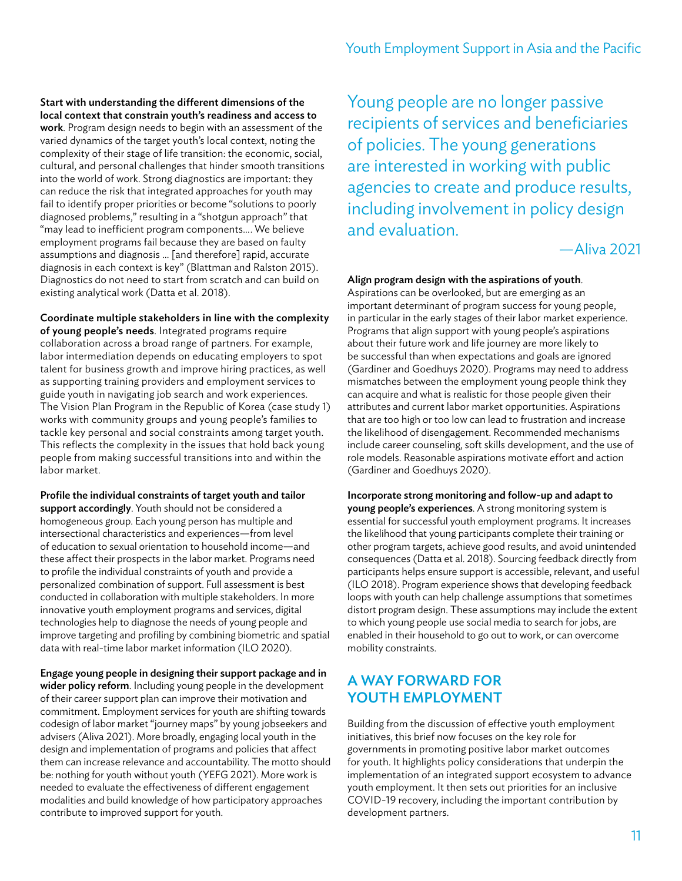### Start with understanding the different dimensions of the local context that constrain youth's readiness and access to

work. Program design needs to begin with an assessment of the varied dynamics of the target youth's local context, noting the complexity of their stage of life transition: the economic, social, cultural, and personal challenges that hinder smooth transitions into the world of work. Strong diagnostics are important: they can reduce the risk that integrated approaches for youth may fail to identify proper priorities or become "solutions to poorly diagnosed problems," resulting in a "shotgun approach" that "may lead to inefficient program components… . We believe employment programs fail because they are based on faulty assumptions and diagnosis … [and therefore] rapid, accurate diagnosis in each context is key" (Blattman and Ralston 2015). Diagnostics do not need to start from scratch and can build on existing analytical work (Datta et al. 2018).

Coordinate multiple stakeholders in line with the complexity of young people's needs. Integrated programs require collaboration across a broad range of partners. For example, labor intermediation depends on educating employers to spot talent for business growth and improve hiring practices, as well as supporting training providers and employment services to guide youth in navigating job search and work experiences. The Vision Plan Program in the Republic of Korea (case study 1) works with community groups and young people's families to tackle key personal and social constraints among target youth. This reflects the complexity in the issues that hold back young people from making successful transitions into and within the labor market.

Profile the individual constraints of target youth and tailor support accordingly. Youth should not be considered a homogeneous group. Each young person has multiple and intersectional characteristics and experiences—from level of education to sexual orientation to household income—and these affect their prospects in the labor market. Programs need to profile the individual constraints of youth and provide a personalized combination of support. Full assessment is best conducted in collaboration with multiple stakeholders. In more innovative youth employment programs and services, digital technologies help to diagnose the needs of young people and improve targeting and profiling by combining biometric and spatial data with real-time labor market information (ILO 2020).

Engage young people in designing their support package and in wider policy reform. Including young people in the development of their career support plan can improve their motivation and commitment. Employment services for youth are shifting towards codesign of labor market "journey maps" by young jobseekers and advisers (Aliva 2021). More broadly, engaging local youth in the design and implementation of programs and policies that affect them can increase relevance and accountability. The motto should be: nothing for youth without youth (YEFG 2021). More work is needed to evaluate the effectiveness of different engagement modalities and build knowledge of how participatory approaches contribute to improved support for youth.

Young people are no longer passive recipients of services and beneficiaries of policies. The young generations are interested in working with public agencies to create and produce results, including involvement in policy design and evaluation.

—Aliva 2021

### Align program design with the aspirations of youth.

Aspirations can be overlooked, but are emerging as an important determinant of program success for young people, in particular in the early stages of their labor market experience. Programs that align support with young people's aspirations about their future work and life journey are more likely to be successful than when expectations and goals are ignored (Gardiner and Goedhuys 2020). Programs may need to address mismatches between the employment young people think they can acquire and what is realistic for those people given their attributes and current labor market opportunities. Aspirations that are too high or too low can lead to frustration and increase the likelihood of disengagement. Recommended mechanisms include career counseling, soft skills development, and the use of role models. Reasonable aspirations motivate effort and action (Gardiner and Goedhuys 2020).

Incorporate strong monitoring and follow-up and adapt to young people's experiences. A strong monitoring system is essential for successful youth employment programs. It increases the likelihood that young participants complete their training or other program targets, achieve good results, and avoid unintended consequences (Datta et al. 2018). Sourcing feedback directly from participants helps ensure support is accessible, relevant, and useful (ILO 2018). Program experience shows that developing feedback loops with youth can help challenge assumptions that sometimes distort program design. These assumptions may include the extent to which young people use social media to search for jobs, are enabled in their household to go out to work, or can overcome mobility constraints.

# A WAY FORWARD FOR YOUTH EMPLOYMENT

Building from the discussion of effective youth employment initiatives, this brief now focuses on the key role for governments in promoting positive labor market outcomes for youth. It highlights policy considerations that underpin the implementation of an integrated support ecosystem to advance youth employment. It then sets out priorities for an inclusive COVID-19 recovery, including the important contribution by development partners.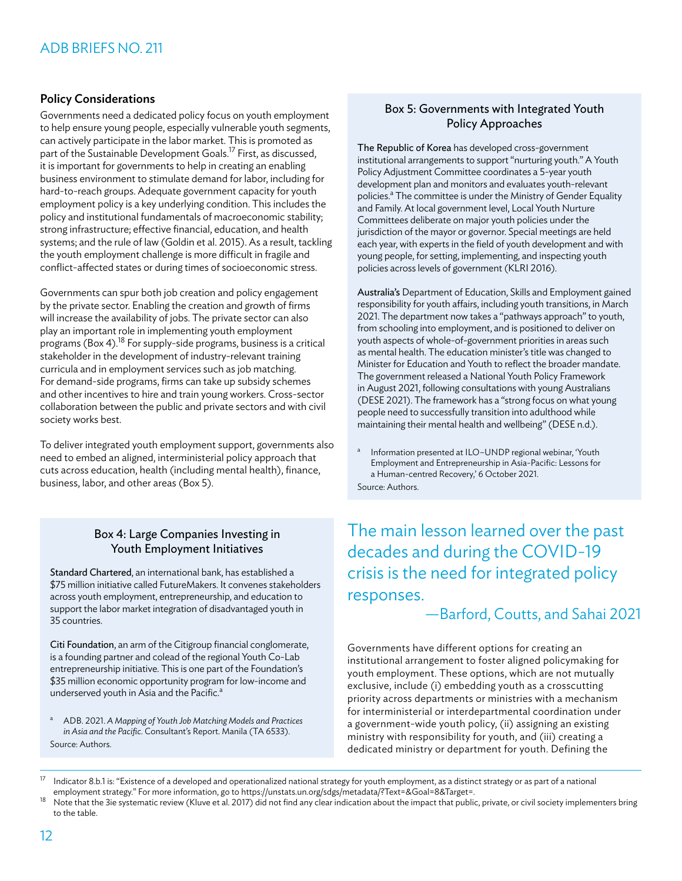# Policy Considerations

Governments need a dedicated policy focus on youth employment to help ensure young people, especially vulnerable youth segments, can actively participate in the labor market. This is promoted as part of the Sustainable Development Goals.<sup>17</sup> First, as discussed, it is important for governments to help in creating an enabling business environment to stimulate demand for labor, including for hard-to-reach groups. Adequate government capacity for youth employment policy is a key underlying condition. This includes the policy and institutional fundamentals of macroeconomic stability; strong infrastructure; effective financial, education, and health systems; and the rule of law (Goldin et al. 2015). As a result, tackling the youth employment challenge is more difficult in fragile and conflict-affected states or during times of socioeconomic stress.

Governments can spur both job creation and policy engagement by the private sector. Enabling the creation and growth of firms will increase the availability of jobs. The private sector can also play an important role in implementing youth employment programs (Box 4).18 For supply-side programs, business is a critical stakeholder in the development of industry-relevant training curricula and in employment services such as job matching. For demand-side programs, firms can take up subsidy schemes and other incentives to hire and train young workers. Cross-sector collaboration between the public and private sectors and with civil society works best.

To deliver integrated youth employment support, governments also need to embed an aligned, interministerial policy approach that cuts across education, health (including mental health), finance, business, labor, and other areas (Box 5).

### Box 4: Large Companies Investing in Youth Employment Initiatives

Standard Chartered, an international bank, has established a \$75 million initiative called FutureMakers. It convenes stakeholders across youth employment, entrepreneurship, and education to support the labor market integration of disadvantaged youth in 35 countries.

Citi Foundation, an arm of the Citigroup financial conglomerate, is a founding partner and colead of the regional Youth Co-Lab entrepreneurship initiative. This is one part of the Foundation's \$35 million economic opportunity program for low-income and underserved youth in Asia and the Pacific.<sup>a</sup>

<sup>a</sup> ADB. 2021. *A Mapping of Youth Job Matching Models and Practices in Asia and the Pacific*. Consultant's Report. Manila (TA 6533). Source: Authors.

# Box 5: Governments with Integrated Youth Policy Approaches

The Republic of Korea has developed cross-government institutional arrangements to support "nurturing youth." A Youth Policy Adjustment Committee coordinates a 5-year youth development plan and monitors and evaluates youth-relevant policies.<sup>a</sup> The committee is under the Ministry of Gender Equality and Family. At local government level, Local Youth Nurture Committees deliberate on major youth policies under the jurisdiction of the mayor or governor. Special meetings are held each year, with experts in the field of youth development and with young people, for setting, implementing, and inspecting youth policies across levels of government (KLRI 2016).

Australia's Department of Education, Skills and Employment gained responsibility for youth affairs, including youth transitions, in March 2021. The department now takes a "pathways approach" to youth, from schooling into employment, and is positioned to deliver on youth aspects of whole-of-government priorities in areas such as mental health. The education minister's title was changed to Minister for Education and Youth to reflect the broader mandate. The government released a National Youth Policy Framework in August 2021, following consultations with young Australians (DESE 2021). The framework has a "strong focus on what young people need to successfully transition into adulthood while maintaining their mental health and wellbeing" (DESE n.d.).

a Information presented at ILO-UNDP regional webinar, 'Youth Employment and Entrepreneurship in Asia-Pacific: Lessons for a Human-centred Recovery,' 6 October 2021. Source: Authors.

The main lesson learned over the past decades and during the COVID-19 crisis is the need for integrated policy responses.

*—*Barford, Coutts, and Sahai 2021

Governments have different options for creating an institutional arrangement to foster aligned policymaking for youth employment. These options, which are not mutually exclusive, include (i) embedding youth as a crosscutting priority across departments or ministries with a mechanism for interministerial or interdepartmental coordination under a government-wide youth policy, (ii) assigning an existing ministry with responsibility for youth, and (iii) creating a dedicated ministry or department for youth. Defining the

 $17$  Indicator 8.b.1 is: "Existence of a developed and operationalized national strategy for youth employment, as a distinct strategy or as part of a national employment strategy." For more information, go to <https://unstats.un.org/sdgs/metadata/?Text=&Goal=8&Target=>.<br><sup>18</sup> Note that the 3ie systematic review (Kluve et al. 2017) did not find any clear indication about the impact

to the table.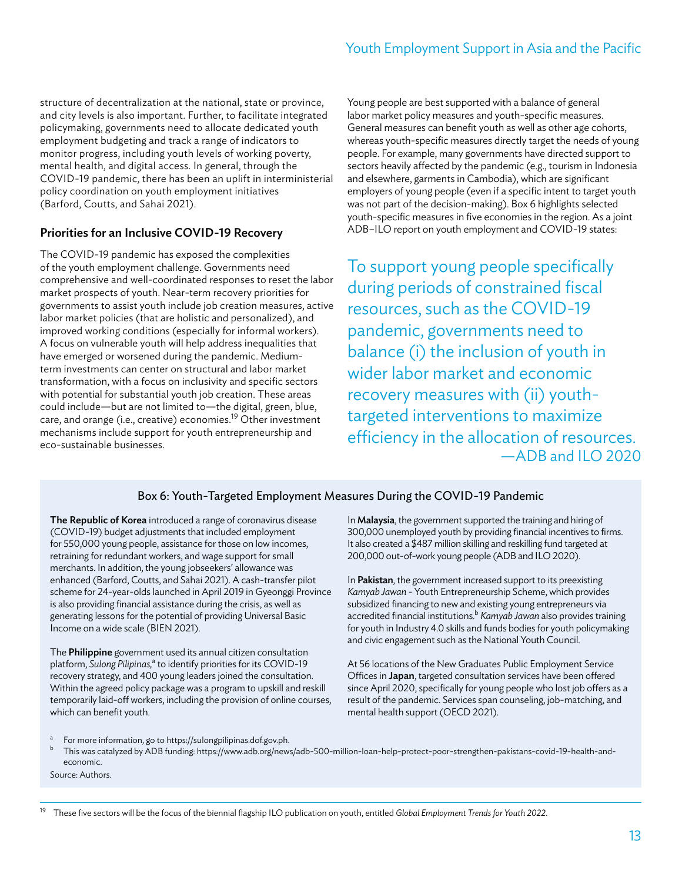structure of decentralization at the national, state or province, and city levels is also important. Further, to facilitate integrated policymaking, governments need to allocate dedicated youth employment budgeting and track a range of indicators to monitor progress, including youth levels of working poverty, mental health, and digital access. In general, through the COVID-19 pandemic, there has been an uplift in interministerial policy coordination on youth employment initiatives (Barford, Coutts, and Sahai 2021).

# Priorities for an Inclusive COVID-19 Recovery

The COVID-19 pandemic has exposed the complexities of the youth employment challenge. Governments need comprehensive and well-coordinated responses to reset the labor market prospects of youth. Near-term recovery priorities for governments to assist youth include job creation measures, active labor market policies (that are holistic and personalized), and improved working conditions (especially for informal workers). A focus on vulnerable youth will help address inequalities that have emerged or worsened during the pandemic. Mediumterm investments can center on structural and labor market transformation, with a focus on inclusivity and specific sectors with potential for substantial youth job creation. These areas could include—but are not limited to—the digital, green, blue, care, and orange (i.e., creative) economies.<sup>19</sup> Other investment mechanisms include support for youth entrepreneurship and eco-sustainable businesses.

Young people are best supported with a balance of general labor market policy measures and youth-specific measures. General measures can benefit youth as well as other age cohorts, whereas youth-specific measures directly target the needs of young people. For example, many governments have directed support to sectors heavily affected by the pandemic (e.g., tourism in Indonesia and elsewhere, garments in Cambodia), which are significant employers of young people (even if a specific intent to target youth was not part of the decision-making). Box 6 highlights selected youth-specific measures in five economies in the region. As a joint ADB–ILO report on youth employment and COVID-19 states:

To support young people specifically during periods of constrained fiscal resources, such as the COVID-19 pandemic, governments need to balance (i) the inclusion of youth in wider labor market and economic recovery measures with (ii) youthtargeted interventions to maximize efficiency in the allocation of resources.  $-$ ADB and II O 2020

# Box 6: Youth-Targeted Employment Measures During the COVID-19 Pandemic

The Republic of Korea introduced a range of coronavirus disease (COVID-19) budget adjustments that included employment for 550,000 young people, assistance for those on low incomes, retraining for redundant workers, and wage support for small merchants. In addition, the young jobseekers' allowance was enhanced (Barford, Coutts, and Sahai 2021). A cash-transfer pilot scheme for 24-year-olds launched in April 2019 in Gyeonggi Province is also providing financial assistance during the crisis, as well as generating lessons for the potential of providing Universal Basic Income on a wide scale (BIEN 2021).

The Philippine government used its annual citizen consultation platform, *Sulong Pilipinas*,<sup>a</sup> to identify priorities for its COVID-19 recovery strategy, and 400 young leaders joined the consultation. Within the agreed policy package was a program to upskill and reskill temporarily laid-off workers, including the provision of online courses, which can benefit youth.

In Malaysia, the government supported the training and hiring of 300,000 unemployed youth by providing financial incentives to firms. It also created a \$487 million skilling and reskilling fund targeted at 200,000 out-of-work young people (ADB and ILO 2020).

In Pakistan, the government increased support to its preexisting *Kamyab Jawan* - Youth Entrepreneurship Scheme, which provides subsidized financing to new and existing young entrepreneurs via accredited financial institutions.<sup>b</sup> Kamyab Jawan also provides training for youth in Industry 4.0 skills and funds bodies for youth policymaking and civic engagement such as the National Youth Council.

At 56 locations of the New Graduates Public Employment Service Offices in Japan, targeted consultation services have been offered since April 2020, specifically for young people who lost job offers as a result of the pandemic. Services span counseling, job-matching, and mental health support (OECD 2021).

- <sup>a</sup> For more information, go to [https://sulongpilipinas.dof.gov.ph.](https://sulongpilipinas.dof.gov.ph)<br> **b** This was catalyzed by ADB funding https://www.adb.org/pow
- <sup>b</sup> This was catalyzed by ADB funding: [https://www.adb.org/news/adb-500-million-loan-help-protect-poor-strengthen-pakistans-covid-19-health-and](https://www.adb.org/news/adb-500-million-loan-help-protect-poor-strengthen-pakistans-covid-19-health-and-economic)[economic](https://www.adb.org/news/adb-500-million-loan-help-protect-poor-strengthen-pakistans-covid-19-health-and-economic).

Source: Authors.

<sup>19</sup> These five sectors will be the focus of the biennial flagship ILO publication on youth, entitled *Global Employment Trends for Youth 2022*.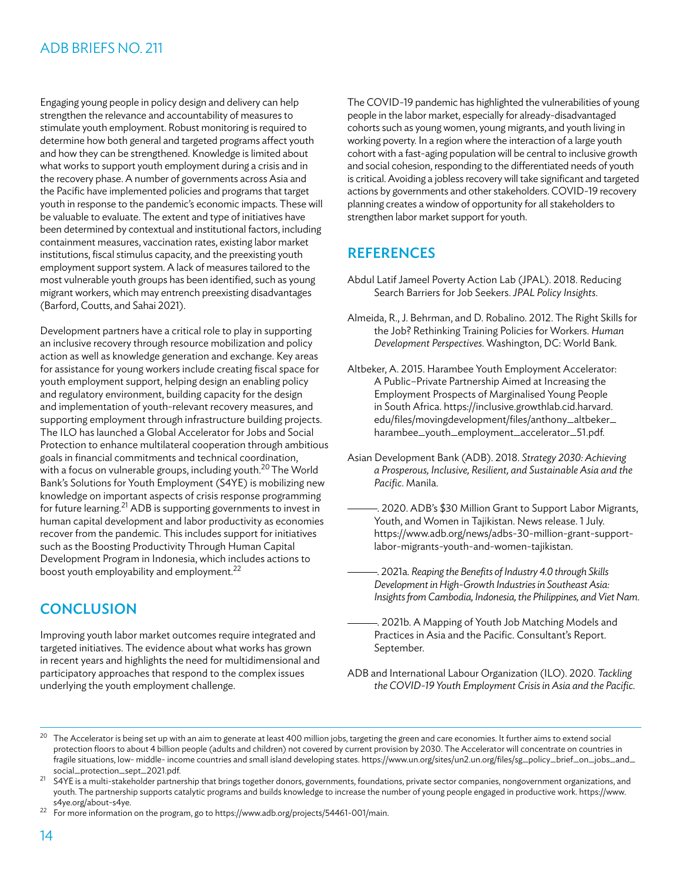Engaging young people in policy design and delivery can help strengthen the relevance and accountability of measures to stimulate youth employment. Robust monitoring is required to determine how both general and targeted programs affect youth and how they can be strengthened. Knowledge is limited about what works to support youth employment during a crisis and in the recovery phase. A number of governments across Asia and the Pacific have implemented policies and programs that target youth in response to the pandemic's economic impacts. These will be valuable to evaluate. The extent and type of initiatives have been determined by contextual and institutional factors, including containment measures, vaccination rates, existing labor market institutions, fiscal stimulus capacity, and the preexisting youth employment support system. A lack of measures tailored to the most vulnerable youth groups has been identified, such as young migrant workers, which may entrench preexisting disadvantages (Barford, Coutts, and Sahai 2021).

Development partners have a critical role to play in supporting an inclusive recovery through resource mobilization and policy action as well as knowledge generation and exchange. Key areas for assistance for young workers include creating fiscal space for youth employment support, helping design an enabling policy and regulatory environment, building capacity for the design and implementation of youth-relevant recovery measures, and supporting employment through infrastructure building projects. The ILO has launched a Global Accelerator for Jobs and Social Protection to enhance multilateral cooperation through ambitious goals in financial commitments and technical coordination, with a focus on vulnerable groups, including youth.<sup>20</sup> The World Bank's Solutions for Youth Employment (S4YE) is mobilizing new knowledge on important aspects of crisis response programming for future learning.21 ADB is supporting governments to invest in human capital development and labor productivity as economies recover from the pandemic. This includes support for initiatives such as the Boosting Productivity Through Human Capital Development Program in Indonesia, which includes actions to boost youth employability and employment.<sup>22</sup>

# **CONCLUSION**

Improving youth labor market outcomes require integrated and targeted initiatives. The evidence about what works has grown in recent years and highlights the need for multidimensional and participatory approaches that respond to the complex issues underlying the youth employment challenge.

The COVID-19 pandemic has highlighted the vulnerabilities of young people in the labor market, especially for already-disadvantaged cohorts such as young women, young migrants, and youth living in working poverty. In a region where the interaction of a large youth cohort with a fast-aging population will be central to inclusive growth and social cohesion, responding to the differentiated needs of youth is critical. Avoiding a jobless recovery will take significant and targeted actions by governments and other stakeholders. COVID-19 recovery planning creates a window of opportunity for all stakeholders to strengthen labor market support for youth.

# **REFERENCES**

- Abdul Latif Jameel Poverty Action Lab (JPAL). 2018. Reducing Search Barriers for Job Seekers. *JPAL Policy Insights*.
- Almeida, R., J. Behrman, and D. Robalino. 2012. The Right Skills for the Job? Rethinking Training Policies for Workers. *Human Development Perspectives*. Washington, DC: World Bank.
- Altbeker, A. 2015. Harambee Youth Employment Accelerator: A Public–Private Partnership Aimed at Increasing the Employment Prospects of Marginalised Young People in South Africa. [https://inclusive.growthlab.cid.harvard.](https://inclusive.growthlab.cid.harvard.edu/files/movingdevelopment/files/anthony_altbeker_harambee_youth_employment_accelerator_51.pdf) [edu/files/movingdevelopment/files/anthony\\_altbeker\\_](https://inclusive.growthlab.cid.harvard.edu/files/movingdevelopment/files/anthony_altbeker_harambee_youth_employment_accelerator_51.pdf) [harambee\\_youth\\_employment\\_accelerator\\_51.pdf](https://inclusive.growthlab.cid.harvard.edu/files/movingdevelopment/files/anthony_altbeker_harambee_youth_employment_accelerator_51.pdf).
- Asian Development Bank (ADB). 2018. *Strategy 2030: Achieving a Prosperous, Inclusive, Resilient, and Sustainable Asia and the Pacific*. Manila.
- . 2020. ADB's \$30 Million Grant to Support Labor Migrants, Youth, and Women in Tajikistan. News release. 1 July. [https://www.adb.org/news/adbs-30-million-grant-support](https://www.adb.org/news/adbs-30-million-grant-support-labor-migrants-youth-and-women-tajikistan)[labor-migrants-youth-and-women-tajikistan.](https://www.adb.org/news/adbs-30-million-grant-support-labor-migrants-youth-and-women-tajikistan)
- . 2021a. *Reaping the Benefits of Industry 4.0 through Skills Development in High-Growth Industries in Southeast Asia: Insights from Cambodia, Indonesia, the Philippines, and Viet Nam*.
- . 2021b. A Mapping of Youth Job Matching Models and Practices in Asia and the Pacific. Consultant's Report. September.
- ADB and International Labour Organization (ILO). 2020. *Tackling the COVID-19 Youth Employment Crisis in Asia and the Pacific*.

<sup>22</sup> For more information on the program, go to [https://www.adb.org/projects/54461-001/main.](https://www.adb.org/projects/54461-001/main )

<sup>&</sup>lt;sup>20</sup> The Accelerator is being set up with an aim to generate at least 400 million jobs, targeting the green and care economies. It further aims to extend social protection floors to about 4 billion people (adults and children) not covered by current provision by 2030. The Accelerator will concentrate on countries in fragile situations, low- middle- income countries and small island developing states. [https://www.un.org/sites/un2.un.org/files/sg\\_policy\\_brief\\_on\\_jobs\\_and\\_](https://www.un.org/sites/un2.un.org/files/sg_policy_brief_on_jobs_and_social_protection_sept_2021.pdf) [social\\_protection\\_sept\\_2021.pdf.](https://www.un.org/sites/un2.un.org/files/sg_policy_brief_on_jobs_and_social_protection_sept_2021.pdf)

 $21$  S4YE is a multi-stakeholder partnership that brings together donors, governments, foundations, private sector companies, nongovernment organizations, and youth. The partnership supports catalytic programs and builds knowledge to increase the number of young people engaged in productive work. [https://www.](https://www.s4ye.org/about-s4ye) [s4ye.org/about-s4ye](https://www.s4ye.org/about-s4ye).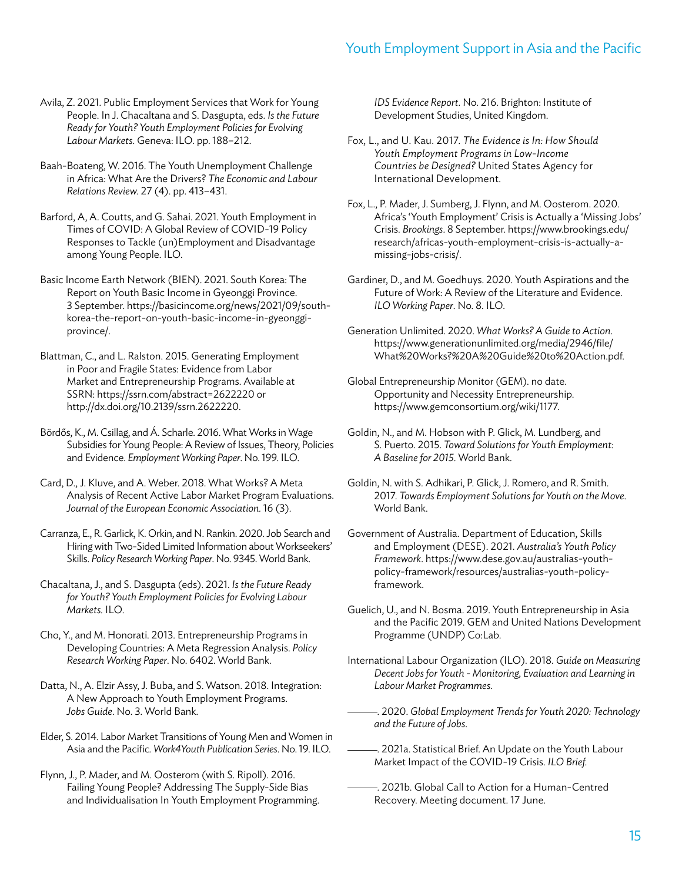- Avila, Z. 2021. Public Employment Services that Work for Young People. In J. Chacaltana and S. Dasgupta, eds. *Is the Future Ready for Youth? Youth Employment Policies for Evolving Labour Markets*. Geneva: ILO. pp. 188–212.
- Baah-Boateng, W. 2016. The Youth Unemployment Challenge in Africa: What Are the Drivers? *The Economic and Labour Relations Review.* 27 (4). pp. 413–431.
- Barford, A, A. Coutts, and G. Sahai. 2021. Youth Employment in Times of COVID: A Global Review of COVID-19 Policy Responses to Tackle (un)Employment and Disadvantage among Young People. ILO.
- Basic Income Earth Network (BIEN). 2021. South Korea: The Report on Youth Basic Income in Gyeonggi Province. 3 September. [https://basicincome.org/news/2021/09/south](https://basicincome.org/news/2021/09/south-korea-the-report-on-youth-basic-income-in-gyeonggi-province/)[korea-the-report-on-youth-basic-income-in-gyeonggi](https://basicincome.org/news/2021/09/south-korea-the-report-on-youth-basic-income-in-gyeonggi-province/)[province/](https://basicincome.org/news/2021/09/south-korea-the-report-on-youth-basic-income-in-gyeonggi-province/).
- Blattman, C., and L. Ralston. 2015. Generating Employment in Poor and Fragile States: Evidence from Labor Market and Entrepreneurship Programs. Available at SSRN:<https://ssrn.com/abstract=2622220>or <http://dx.doi.org/10.2139/ssrn.2622220>.
- Bördős, K., M. Csillag, and Á. Scharle. 2016. What Works in Wage Subsidies for Young People: A Review of Issues, Theory, Policies and Evidence. *Employment Working Paper*. No. 199. ILO.
- Card, D., J. Kluve, and A. Weber. 2018. What Works? A Meta Analysis of Recent Active Labor Market Program Evaluations. *Journal of the European Economic Association.* 16 (3).
- Carranza, E., R. Garlick, K. Orkin, and N. Rankin. 2020. Job Search and Hiring with Two-Sided Limited Information about Workseekers' Skills. *Policy Research Working Paper*. No. 9345. World Bank.
- Chacaltana, J., and S. Dasgupta (eds). 2021. *Is the Future Ready for Youth? Youth Employment Policies for Evolving Labour Markets.* ILO.
- Cho, Y., and M. Honorati. 2013. Entrepreneurship Programs in Developing Countries: A Meta Regression Analysis. *Policy Research Working Paper*. No. 6402. World Bank.
- Datta, N., A. Elzir Assy, J. Buba, and S. Watson. 2018. Integration: A New Approach to Youth Employment Programs. *Jobs Guide*. No. 3. World Bank.
- Elder, S. 2014. Labor Market Transitions of Young Men and Women in Asia and the Pacific*. Work4Youth Publication Series*. No. 19. ILO.
- Flynn, J., P. Mader, and M. Oosterom (with S. Ripoll). 2016. Failing Young People? Addressing The Supply-Side Bias and Individualisation In Youth Employment Programming.

*IDS Evidence Report*. No. 216. Brighton: Institute of Development Studies, United Kingdom.

- Fox, L., and U. Kau. 2017. *The Evidence is In: How Should Youth Employment Programs in Low-Income Countries be Designed?* United States Agency for International Development.
- Fox, L., P. Mader, J. Sumberg, J. Flynn, and M. Oosterom. 2020. Africa's 'Youth Employment' Crisis is Actually a 'Missing Jobs' Crisis. *Brookings*. 8 September. [https://www.brookings.edu/](https://www.brookings.edu/research/africas-youth-employment-crisis-is-actually-a-missing-jobs-crisis/) [research/africas-youth-employment-crisis-is-actually-a](https://www.brookings.edu/research/africas-youth-employment-crisis-is-actually-a-missing-jobs-crisis/)[missing-jobs-crisis/](https://www.brookings.edu/research/africas-youth-employment-crisis-is-actually-a-missing-jobs-crisis/).
- Gardiner, D., and M. Goedhuys. 2020. Youth Aspirations and the Future of Work: A Review of the Literature and Evidence. *ILO Working Paper*. No. 8. ILO.
- Generation Unlimited. 2020. *What Works? A Guide to Action*. [https://www.generationunlimited.org/media/2946/file/](https://www.generationunlimited.org/media/2946/file/What%20Works?%20A%20Guide%20to%20Action.pdf
) [What%20Works?%20A%20Guide%20to%20Action.pdf.](https://www.generationunlimited.org/media/2946/file/What%20Works?%20A%20Guide%20to%20Action.pdf
)
- Global Entrepreneurship Monitor (GEM). no date. Opportunity and Necessity Entrepreneurship. [https://www.gemconsortium.org/wiki/1177.](https://www.gemconsortium.org/wiki/1177)
- Goldin, N., and M. Hobson with P. Glick, M. Lundberg, and S. Puerto. 2015. *Toward Solutions for Youth Employment: A Baseline for 2015*. World Bank.
- Goldin, N. with S. Adhikari, P. Glick, J. Romero, and R. Smith. 2017. *Towards Employment Solutions for Youth on the Move*. World Bank.
- Government of Australia. Department of Education, Skills and Employment (DESE). 2021. *Australia's Youth Policy Framework*. [https://www.dese.gov.au/australias-youth](https://www.dese.gov.au/australias-youth-policy-framework/resources/australias-youth-policy-framework)[policy-framework/resources/australias-youth-policy](https://www.dese.gov.au/australias-youth-policy-framework/resources/australias-youth-policy-framework)[framework.](https://www.dese.gov.au/australias-youth-policy-framework/resources/australias-youth-policy-framework)
- Guelich, U., and N. Bosma. 2019. Youth Entrepreneurship in Asia and the Pacific 2019. GEM and United Nations Development Programme (UNDP) Co:Lab.
- International Labour Organization (ILO). 2018. *Guide on Measuring Decent Jobs for Youth - Monitoring, Evaluation and Learning in Labour Market Programmes*.
- . 2020. *Global Employment Trends for Youth 2020: Technology and the Future of Jobs*.
- . 2021a. Statistical Brief. An Update on the Youth Labour Market Impact of the COVID-19 Crisis. *ILO Brief.*
- . 2021b. Global Call to Action for a Human-Centred Recovery. Meeting document. 17 June.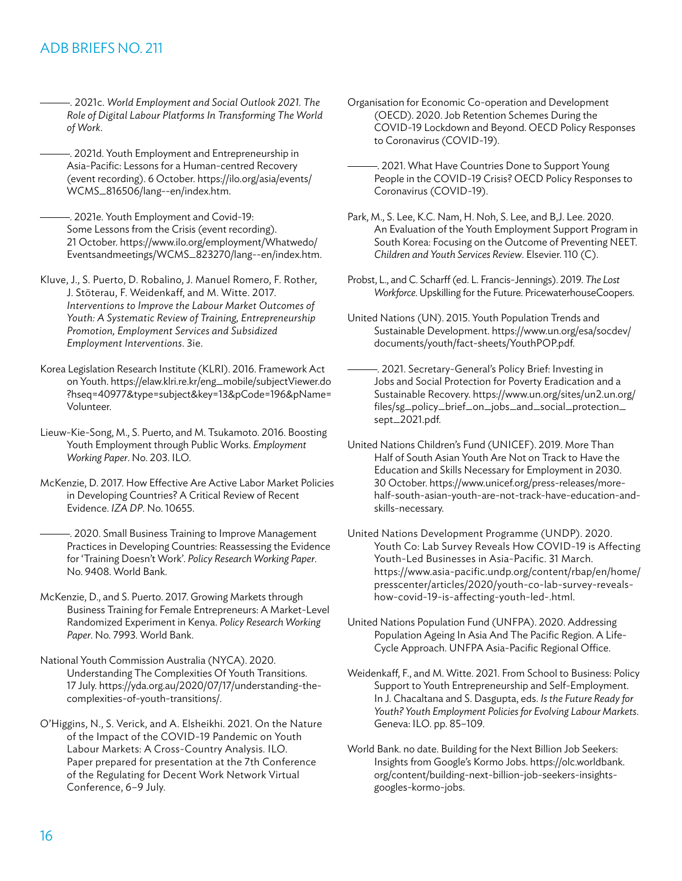- . 2021c. *World Employment and Social Outlook 2021. The Role of Digital Labour Platforms In Transforming The World of Work*.
- . 2021d. Youth Employment and Entrepreneurship in Asia-Pacific: Lessons for a Human-centred Recovery (event recording). 6 October. [https://ilo.org/asia/events/](https://ilo.org/asia/events/WCMS_816506/lang--en/index.htm) [WCMS\\_816506/lang--en/index.htm](https://ilo.org/asia/events/WCMS_816506/lang--en/index.htm).
	- . 2021e. Youth Employment and Covid-19: Some Lessons from the Crisis (event recording). 21 October. [https://www.ilo.org/employment/Whatwedo/](https://www.ilo.org/employment/Whatwedo/Eventsandmeetings/WCMS_823270/lang--en/index.htm) [Eventsandmeetings/WCMS\\_823270/lang--en/index.htm](https://www.ilo.org/employment/Whatwedo/Eventsandmeetings/WCMS_823270/lang--en/index.htm).
- Kluve, J., S. Puerto, D. Robalino, J. Manuel Romero, F. Rother, J. Stöterau, F. Weidenkaff, and M. Witte. 2017. *Interventions to Improve the Labour Market Outcomes of Youth: A Systematic Review of Training, Entrepreneurship Promotion, Employment Services and Subsidized Employment Interventions*. 3ie.
- Korea Legislation Research Institute (KLRI). 2016. Framework Act on Youth. [https://elaw.klri.re.kr/eng\\_mobile/subjectViewer.do](https://elaw.klri.re.kr/eng_mobile/subjectViewer.do?hseq=40977&type=subject&key=13&pCode=196&pName=Volunteer) [?hseq=40977&type=subject&key=13&pCode=196&pName=](https://elaw.klri.re.kr/eng_mobile/subjectViewer.do?hseq=40977&type=subject&key=13&pCode=196&pName=Volunteer) [Volunteer](https://elaw.klri.re.kr/eng_mobile/subjectViewer.do?hseq=40977&type=subject&key=13&pCode=196&pName=Volunteer).
- Lieuw-Kie-Song, M., S. Puerto, and M. Tsukamoto. 2016. Boosting Youth Employment through Public Works. *Employment Working Paper*. No. 203. ILO.
- McKenzie, D. 2017. How Effective Are Active Labor Market Policies in Developing Countries? A Critical Review of Recent Evidence. *IZA DP*. No. 10655.
- . 2020. Small Business Training to Improve Management Practices in Developing Countries: Reassessing the Evidence for 'Training Doesn't Work'. *Policy Research Working Paper*. No. 9408. World Bank.
- McKenzie, D., and S. Puerto. 2017. Growing Markets through Business Training for Female Entrepreneurs: A Market-Level Randomized Experiment in Kenya. *Policy Research Working Paper*. No. 7993. World Bank.
- National Youth Commission Australia (NYCA). 2020. Understanding The Complexities Of Youth Transitions. 17 July. [https://yda.org.au/2020/07/17/understanding-the](https://yda.org.au/2020/07/17/understanding-the-complexities-of-youth-transitions/)[complexities-of-youth-transitions/](https://yda.org.au/2020/07/17/understanding-the-complexities-of-youth-transitions/).
- O'Higgins, N., S. Verick, and A. Elsheikhi. 2021. On the Nature of the Impact of the COVID-19 Pandemic on Youth Labour Markets: A Cross-Country Analysis. ILO. Paper prepared for presentation at the 7th Conference of the Regulating for Decent Work Network Virtual Conference, 6–9 July.
- Organisation for Economic Co-operation and Development (OECD). 2020. Job Retention Schemes During the COVID-19 Lockdown and Beyond. OECD Policy Responses to Coronavirus (COVID-19).
- . 2021. What Have Countries Done to Support Young People in the COVID-19 Crisis? OECD Policy Responses to Coronavirus (COVID-19).
- Park, M., S. Lee, K.C. Nam, H. Noh, S. Lee, and B,J. Lee. 2020. An Evaluation of the Youth Employment Support Program in South Korea: Focusing on the Outcome of Preventing NEET. *Children and Youth Services Review*. Elsevier. 110 (C).
- Probst, L., and C. Scharff (ed. L. Francis-Jennings). 2019. *The Lost Workforce*. Upskilling for the Future. PricewaterhouseCoopers.
- United Nations (UN). 2015. Youth Population Trends and Sustainable Development. [https://www.un.org/esa/socdev/](https://www.un.org/esa/socdev/documents/youth/fact-sheets/YouthPOP.pdf) [documents/youth/fact-sheets/YouthPOP.pdf](https://www.un.org/esa/socdev/documents/youth/fact-sheets/YouthPOP.pdf).
- . 2021. Secretary-General's Policy Brief: Investing in Jobs and Social Protection for Poverty Eradication and a Sustainable Recovery. [https://www.un.org/sites/un2.un.org/](https://www.un.org/sites/un2.un.org/files/sg_policy_brief_on_jobs_and_social_protection_sept_2021.pdf
) [files/sg\\_policy\\_brief\\_on\\_jobs\\_and\\_social\\_protection\\_](https://www.un.org/sites/un2.un.org/files/sg_policy_brief_on_jobs_and_social_protection_sept_2021.pdf
) [sept\\_2021.pdf](https://www.un.org/sites/un2.un.org/files/sg_policy_brief_on_jobs_and_social_protection_sept_2021.pdf
).
- United Nations Children's Fund (UNICEF). 2019. More Than Half of South Asian Youth Are Not on Track to Have the Education and Skills Necessary for Employment in 2030. 30 October. [https://www.unicef.org/press-releases/more](https://www.unicef.org/press-releases/more-half-south-asian-youth-are-not-track-have-education-and-skills-necessary)[half-south-asian-youth-are-not-track-have-education-and](https://www.unicef.org/press-releases/more-half-south-asian-youth-are-not-track-have-education-and-skills-necessary)[skills-necessary.](https://www.unicef.org/press-releases/more-half-south-asian-youth-are-not-track-have-education-and-skills-necessary)
- United Nations Development Programme (UNDP). 2020. Youth Co: Lab Survey Reveals How COVID-19 is Affecting Youth-Led Businesses in Asia-Pacific. 31 March. [https://www.asia-pacific.undp.org/content/rbap/en/home/](https://www.asia-pacific.undp.org/content/rbap/en/home/presscenter/articles/2020/youth-co-lab-survey-reveals-how-covid-19-is-affecting-youth-led-.html) [presscenter/articles/2020/youth-co-lab-survey-reveals](https://www.asia-pacific.undp.org/content/rbap/en/home/presscenter/articles/2020/youth-co-lab-survey-reveals-how-covid-19-is-affecting-youth-led-.html)[how-covid-19-is-affecting-youth-led-.html](https://www.asia-pacific.undp.org/content/rbap/en/home/presscenter/articles/2020/youth-co-lab-survey-reveals-how-covid-19-is-affecting-youth-led-.html).
- United Nations Population Fund (UNFPA). 2020. Addressing Population Ageing In Asia And The Pacific Region. A Life-Cycle Approach. UNFPA Asia-Pacific Regional Office.
- Weidenkaff, F., and M. Witte. 2021. From School to Business: Policy Support to Youth Entrepreneurship and Self-Employment. In J. Chacaltana and S. Dasgupta, eds. *Is the Future Ready for Youth? Youth Employment Policies for Evolving Labour Markets*. Geneva: ILO. pp. 85–109.
- World Bank. no date. Building for the Next Billion Job Seekers: Insights from Google's Kormo Jobs. [https://olc.worldbank.](https://olc.worldbank.org/content/building-next-billion-job-seekers-insights-googles-kormo-jobs) [org/content/building-next-billion-job-seekers-insights](https://olc.worldbank.org/content/building-next-billion-job-seekers-insights-googles-kormo-jobs)[googles-kormo-jobs.](https://olc.worldbank.org/content/building-next-billion-job-seekers-insights-googles-kormo-jobs)